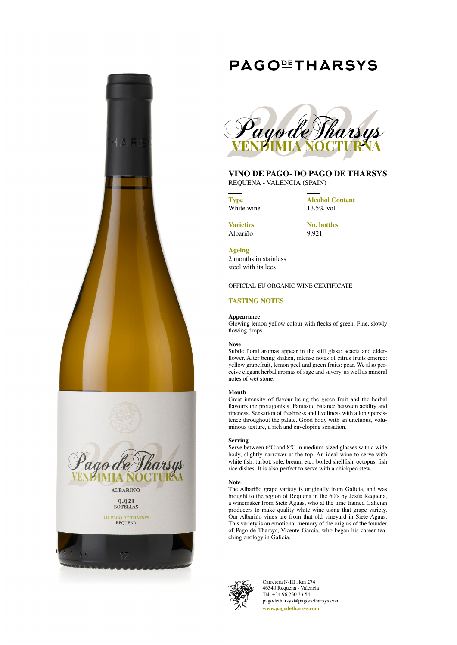

# **PAGOLIHARSYS**



# **VINO DE PAGO- DO PAGO DE THARSYS**

REQUENA - VALENCIA (SPAIN)

**Type** White wine **Alcohol Content** 13.5% vol.

**Varieties** Albariño

**No. bottles** 9,921

**Ageing**

2 months in stainless steel with its lees

# OFFICIAL EU ORGANIC WINE CERTIFICATE

# **TASTING NOTES**

### **Appearance**

Glowing lemon yellow colour with flecks of green. Fine, slowly flowing drops.

### **Nose**

Subtle floral aromas appear in the still glass: acacia and elderflower. After being shaken, intense notes of citrus fruits emerge: yellow grapefruit, lemon peel and green fruits: pear. We also perceive elegant herbal aromas of sage and savory, as well as mineral notes of wet stone.

### **Mouth**

Great intensity of flavour being the green fruit and the herbal flavours the protagonists. Fantastic balance between acidity and ripeness. Sensation of freshness and liveliness with a long persistence throughout the palate. Good body with an unctuous, voluminous texture, a rich and enveloping sensation.

### **Serving**

Serve between 6ºC and 8ºC in medium-sized glasses with a wide body, slightly narrower at the top. An ideal wine to serve with white fish: turbot, sole, bream, etc., boiled shellfish, octopus, fish rice dishes. It is also perfect to serve with a chickpea stew.

### **Note**

The Albariño grape variety is originally from Galicia, and was brought to the region of Requena in the 60's by Jesús Requena, a winemaker from Siete Aguas, who at the time trained Galician producers to make quality white wine using that grape variety. Our Albariño vines are from that old vineyard in Siete Aguas. This variety is an emotional memory of the origins of the founder of Pago de Tharsys, Vicente García, who began his career teaching enology in Galicia.



Carretera N-III , km 274 46340 Requena - Valencia Tel. +34 96 230 33 54 pagodetharsys@pagodetharsys.com **www.pagodetharsys.com**